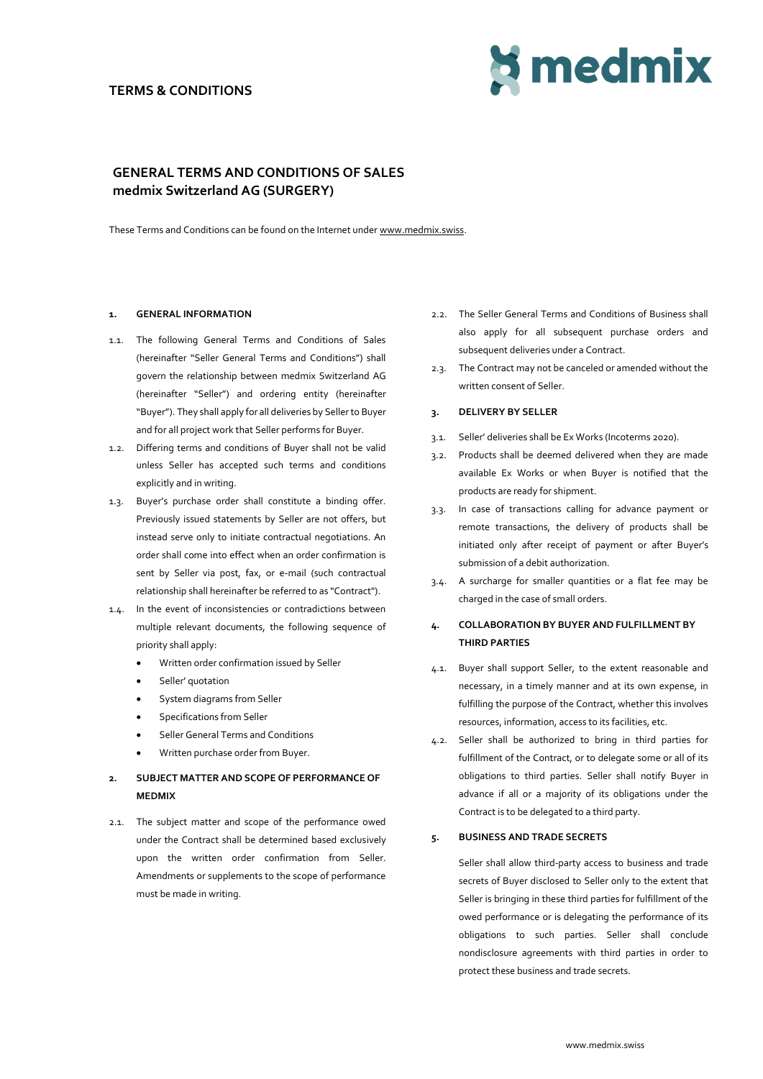# **TERMS & CONDITIONS**



# **GENERAL TERMS AND CONDITIONS OF SALES medmix Switzerland AG (SURGERY)**

These Terms and Conditions can be found on the Internet unde[r www.medmix.swiss.](http://www.medmix.swiss/)

# **1. GENERAL INFORMATION**

- 1.1. The following General Terms and Conditions of Sales (hereinafter "Seller General Terms and Conditions") shall govern the relationship between medmix Switzerland AG (hereinafter "Seller") and ordering entity (hereinafter "Buyer"). They shall apply for all deliveries by Sellerto Buyer and for all project work that Seller performs for Buyer.
- 1.2. Differing terms and conditions of Buyer shall not be valid unless Seller has accepted such terms and conditions explicitly and in writing.
- 1.3. Buyer's purchase order shall constitute a binding offer. Previously issued statements by Seller are not offers, but instead serve only to initiate contractual negotiations. An order shall come into effect when an order confirmation is sent by Seller via post, fax, or e-mail (such contractual relationship shall hereinafter be referred to as "Contract").
- 1.4. In the event of inconsistencies or contradictions between multiple relevant documents, the following sequence of priority shall apply:
	- Written order confirmation issued by Seller
	- Seller' quotation
	- System diagrams from Seller
	- Specifications from Seller
	- Seller General Terms and Conditions
	- Written purchase order from Buyer.

# **2. SUBJECT MATTER AND SCOPE OF PERFORMANCE OF MEDMIX**

2.1. The subject matter and scope of the performance owed under the Contract shall be determined based exclusively upon the written order confirmation from Seller. Amendments or supplements to the scope of performance must be made in writing.

- 2.2. The Seller General Terms and Conditions of Business shall also apply for all subsequent purchase orders and subsequent deliveries under a Contract.
- 2.3. The Contract may not be canceled or amended without the written consent of Seller.

# **3. DELIVERY BY SELLER**

- 3.1. Seller' deliveries shall be Ex Works (Incoterms 2020).
- 3.2. Products shall be deemed delivered when they are made available Ex Works or when Buyer is notified that the products are ready for shipment.
- 3.3. In case of transactions calling for advance payment or remote transactions, the delivery of products shall be initiated only after receipt of payment or after Buyer's submission of a debit authorization.
- 3.4. A surcharge for smaller quantities or a flat fee may be charged in the case of small orders.

# **4. COLLABORATION BY BUYER AND FULFILLMENT BY THIRD PARTIES**

- 4.1. Buyer shall support Seller, to the extent reasonable and necessary, in a timely manner and at its own expense, in fulfilling the purpose of the Contract, whether this involves resources, information, access to its facilities, etc.
- 4.2. Seller shall be authorized to bring in third parties for fulfillment of the Contract, or to delegate some or all of its obligations to third parties. Seller shall notify Buyer in advance if all or a majority of its obligations under the Contract is to be delegated to a third party.

# **5. BUSINESS AND TRADE SECRETS**

Seller shall allow third-party access to business and trade secrets of Buyer disclosed to Seller only to the extent that Seller is bringing in these third parties for fulfillment of the owed performance or is delegating the performance of its obligations to such parties. Seller shall conclude nondisclosure agreements with third parties in order to protect these business and trade secrets.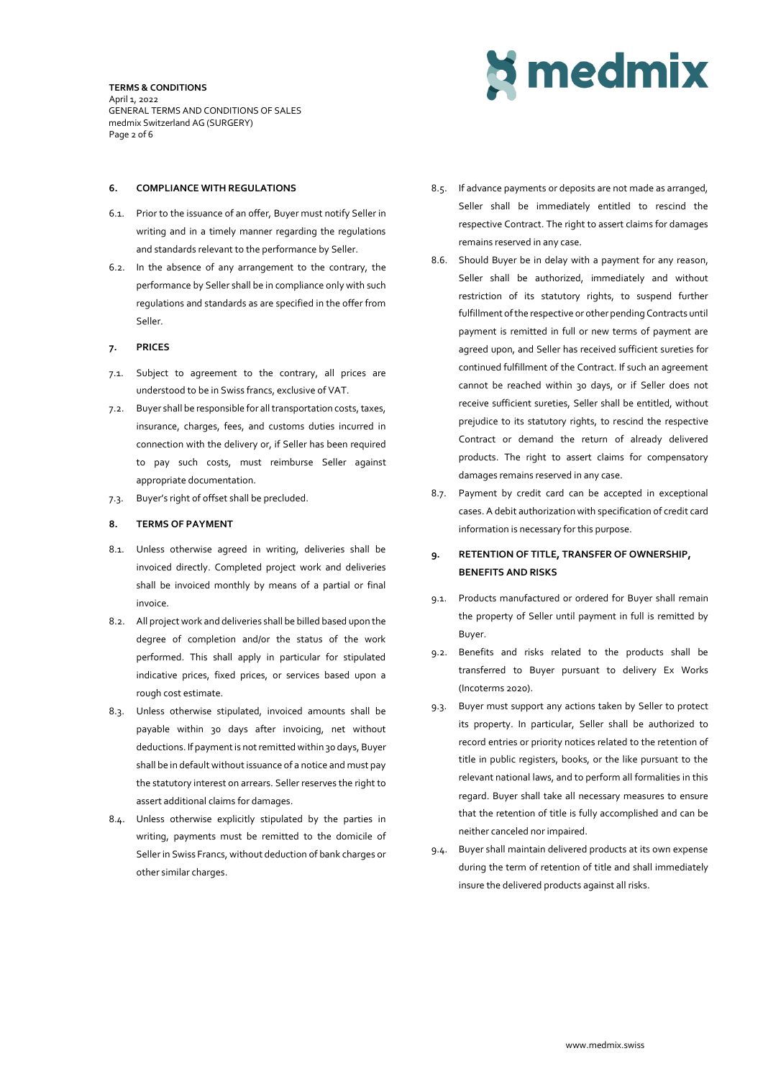**TERMS & CONDITIONS** April 1, 2022 GENERAL TERMS AND CONDITIONS OF SALES medmix Switzerland AG (SURGERY) Page 2 of 6

# **6. COMPLIANCE WITH REGULATIONS**

- 6.1. Prior to the issuance of an offer, Buyer must notify Seller in writing and in a timely manner regarding the regulations and standards relevant to the performance by Seller.
- 6.2. In the absence of any arrangement to the contrary, the performance by Seller shall be in compliance only with such regulations and standards as are specified in the offer from Seller.

# **7. PRICES**

- 7.1. Subject to agreement to the contrary, all prices are understood to be in Swiss francs, exclusive of VAT.
- 7.2. Buyer shall be responsible for all transportation costs, taxes, insurance, charges, fees, and customs duties incurred in connection with the delivery or, if Seller has been required to pay such costs, must reimburse Seller against appropriate documentation.
- 7.3. Buyer's right of offset shall be precluded.

## **8. TERMS OF PAYMENT**

- 8.1. Unless otherwise agreed in writing, deliveries shall be invoiced directly. Completed project work and deliveries shall be invoiced monthly by means of a partial or final invoice.
- 8.2. All project work and deliveries shall be billed based upon the degree of completion and/or the status of the work performed. This shall apply in particular for stipulated indicative prices, fixed prices, or services based upon a rough cost estimate.
- 8.3. Unless otherwise stipulated, invoiced amounts shall be payable within 30 days after invoicing, net without deductions. If payment is not remitted within 30 days, Buyer shall be in default without issuance of a notice and must pay the statutory interest on arrears. Seller reserves the right to assert additional claims for damages.
- 8.4. Unless otherwise explicitly stipulated by the parties in writing, payments must be remitted to the domicile of Seller in Swiss Francs, without deduction of bank charges or other similar charges.



- 8.5. If advance payments or deposits are not made as arranged, Seller shall be immediately entitled to rescind the respective Contract. The right to assert claims for damages remains reserved in any case.
- 8.6. Should Buyer be in delay with a payment for any reason, Seller shall be authorized, immediately and without restriction of its statutory rights, to suspend further fulfillment of the respective or other pending Contracts until payment is remitted in full or new terms of payment are agreed upon, and Seller has received sufficient sureties for continued fulfillment of the Contract. If such an agreement cannot be reached within 30 days, or if Seller does not receive sufficient sureties, Seller shall be entitled, without prejudice to its statutory rights, to rescind the respective Contract or demand the return of already delivered products. The right to assert claims for compensatory damages remains reserved in any case.
- 8.7. Payment by credit card can be accepted in exceptional cases. A debit authorization with specification of credit card information is necessary for this purpose.

# **9. RETENTION OF TITLE, TRANSFER OF OWNERSHIP, BENEFITS AND RISKS**

- 9.1. Products manufactured or ordered for Buyer shall remain the property of Seller until payment in full is remitted by Buyer.
- 9.2. Benefits and risks related to the products shall be transferred to Buyer pursuant to delivery Ex Works (Incoterms 2020).
- 9.3. Buyer must support any actions taken by Seller to protect its property. In particular, Seller shall be authorized to record entries or priority notices related to the retention of title in public registers, books, or the like pursuant to the relevant national laws, and to perform all formalities in this regard. Buyer shall take all necessary measures to ensure that the retention of title is fully accomplished and can be neither canceled nor impaired.
- 9.4. Buyer shall maintain delivered products at its own expense during the term of retention of title and shall immediately insure the delivered products against all risks.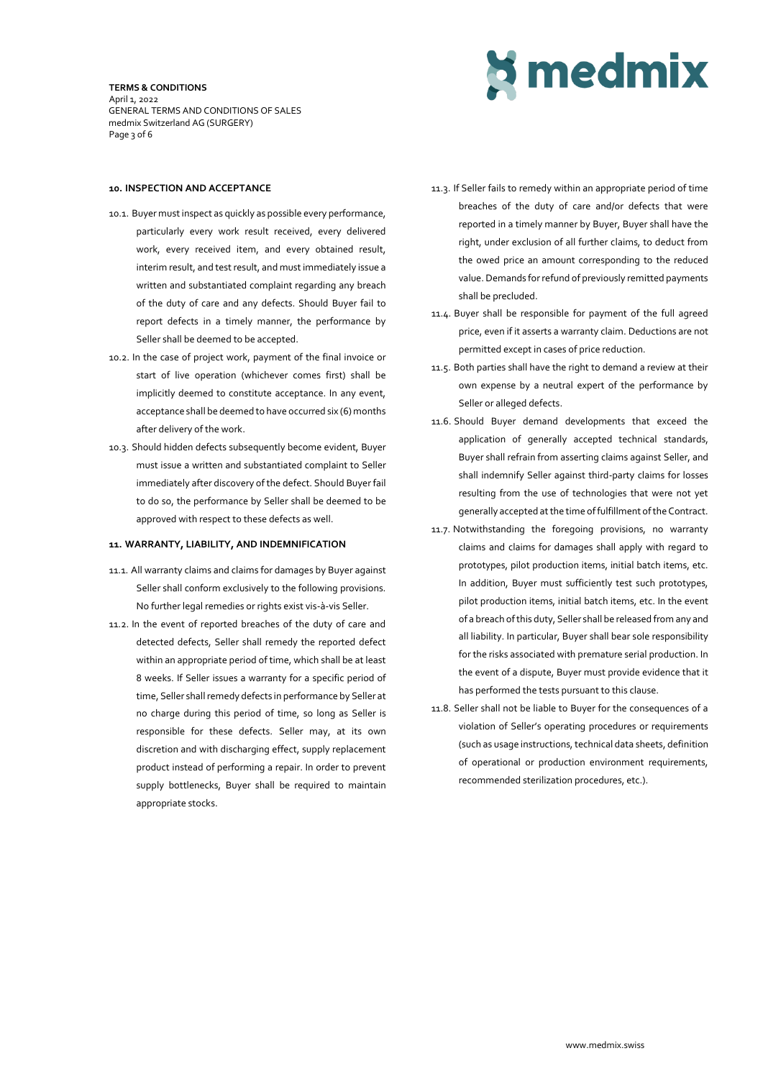**TERMS & CONDITIONS** April 1, 2022 GENERAL TERMS AND CONDITIONS OF SALES medmix Switzerland AG (SURGERY) Page 3 of 6



## **10. INSPECTION AND ACCEPTANCE**

- 10.1. Buyer must inspect as quickly as possible every performance, particularly every work result received, every delivered work, every received item, and every obtained result, interim result, and test result, and must immediately issue a written and substantiated complaint regarding any breach of the duty of care and any defects. Should Buyer fail to report defects in a timely manner, the performance by Seller shall be deemed to be accepted.
- 10.2. In the case of project work, payment of the final invoice or start of live operation (whichever comes first) shall be implicitly deemed to constitute acceptance. In any event, acceptance shall be deemed to have occurred six (6) months after delivery of the work.
- 10.3. Should hidden defects subsequently become evident, Buyer must issue a written and substantiated complaint to Seller immediately after discovery of the defect. Should Buyer fail to do so, the performance by Seller shall be deemed to be approved with respect to these defects as well.

## **11. WARRANTY, LIABILITY, AND INDEMNIFICATION**

- 11.1. All warranty claims and claims for damages by Buyer against Seller shall conform exclusively to the following provisions. No further legal remedies or rights exist vis-à-vis Seller.
- 11.2. In the event of reported breaches of the duty of care and detected defects, Seller shall remedy the reported defect within an appropriate period of time, which shall be at least 8 weeks. If Seller issues a warranty for a specific period of time, Seller shall remedy defects in performance by Seller at no charge during this period of time, so long as Seller is responsible for these defects. Seller may, at its own discretion and with discharging effect, supply replacement product instead of performing a repair. In order to prevent supply bottlenecks, Buyer shall be required to maintain appropriate stocks.
- 11.3. If Seller fails to remedy within an appropriate period of time breaches of the duty of care and/or defects that were reported in a timely manner by Buyer, Buyer shall have the right, under exclusion of all further claims, to deduct from the owed price an amount corresponding to the reduced value. Demands for refund of previously remitted payments shall be precluded.
- 11.4. Buyer shall be responsible for payment of the full agreed price, even if it asserts a warranty claim. Deductions are not permitted except in cases of price reduction.
- 11.5. Both parties shall have the right to demand a review at their own expense by a neutral expert of the performance by Seller or alleged defects.
- 11.6. Should Buyer demand developments that exceed the application of generally accepted technical standards, Buyer shall refrain from asserting claims against Seller, and shall indemnify Seller against third-party claims for losses resulting from the use of technologies that were not yet generally accepted at the time of fulfillment of the Contract.
- 11.7. Notwithstanding the foregoing provisions, no warranty claims and claims for damages shall apply with regard to prototypes, pilot production items, initial batch items, etc. In addition, Buyer must sufficiently test such prototypes, pilot production items, initial batch items, etc. In the event of a breach of this duty, Seller shall be released from any and all liability. In particular, Buyer shall bear sole responsibility for the risks associated with premature serial production. In the event of a dispute, Buyer must provide evidence that it has performed the tests pursuant to this clause.
- 11.8. Seller shall not be liable to Buyer for the consequences of a violation of Seller's operating procedures or requirements (such as usage instructions, technical data sheets, definition of operational or production environment requirements, recommended sterilization procedures, etc.).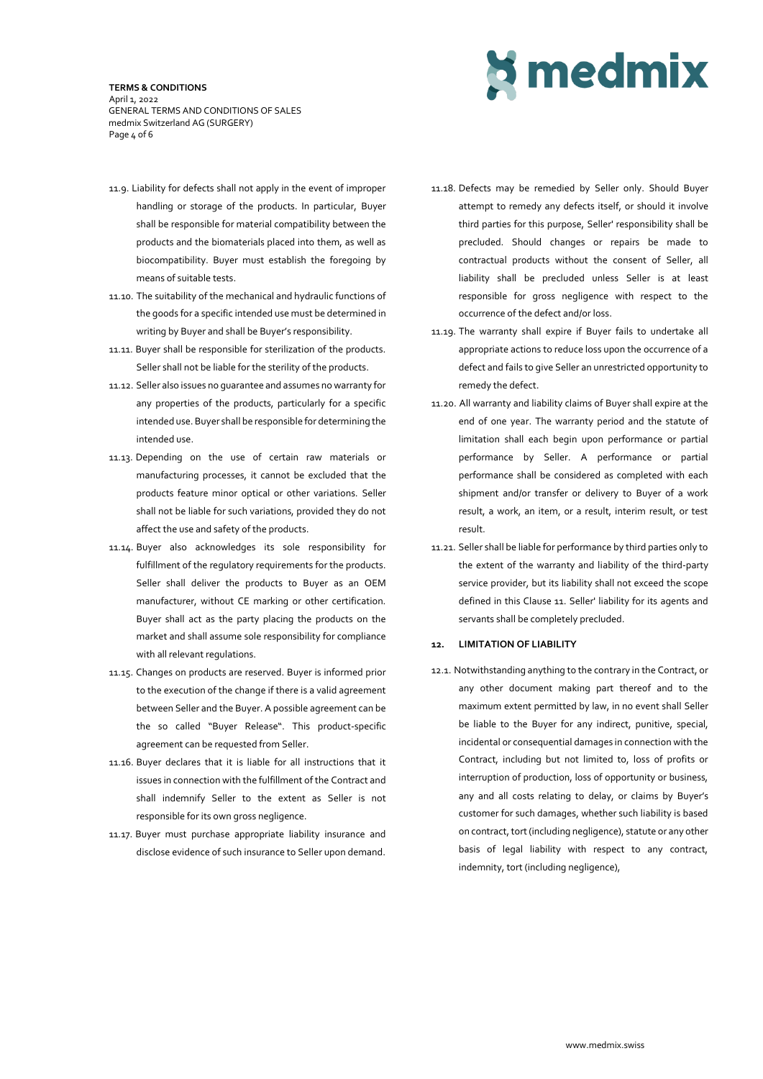#### **TERMS & CONDITIONS** April 1, 2022 GENERAL TERMS AND CONDITIONS OF SALES medmix Switzerland AG (SURGERY) Page 4 of 6



- 11.9. Liability for defects shall not apply in the event of improper handling or storage of the products. In particular, Buyer shall be responsible for material compatibility between the products and the biomaterials placed into them, as well as biocompatibility. Buyer must establish the foregoing by means of suitable tests.
- 11.10. The suitability of the mechanical and hydraulic functions of the goods for a specific intended use must be determined in writing by Buyer and shall be Buyer's responsibility.
- 11.11. Buyer shall be responsible for sterilization of the products. Seller shall not be liable for the sterility of the products.
- 11.12. Seller also issues no guarantee and assumes no warranty for any properties of the products, particularly for a specific intended use. Buyer shall be responsible for determining the intended use.
- 11.13. Depending on the use of certain raw materials or manufacturing processes, it cannot be excluded that the products feature minor optical or other variations. Seller shall not be liable for such variations, provided they do not affect the use and safety of the products.
- 11.14. Buyer also acknowledges its sole responsibility for fulfillment of the regulatory requirements for the products. Seller shall deliver the products to Buyer as an OEM manufacturer, without CE marking or other certification. Buyer shall act as the party placing the products on the market and shall assume sole responsibility for compliance with all relevant regulations.
- 11.15. Changes on products are reserved. Buyer is informed prior to the execution of the change if there is a valid agreement between Seller and the Buyer. A possible agreement can be the so called "Buyer Release". This product-specific agreement can be requested from Seller.
- 11.16. Buyer declares that it is liable for all instructions that it issues in connection with the fulfillment of the Contract and shall indemnify Seller to the extent as Seller is not responsible for its own gross negligence.
- 11.17. Buyer must purchase appropriate liability insurance and disclose evidence of such insurance to Seller upon demand.
- 11.18. Defects may be remedied by Seller only. Should Buyer attempt to remedy any defects itself, or should it involve third parties for this purpose, Seller' responsibility shall be precluded. Should changes or repairs be made to contractual products without the consent of Seller, all liability shall be precluded unless Seller is at least responsible for gross negligence with respect to the occurrence of the defect and/or loss.
- 11.19. The warranty shall expire if Buyer fails to undertake all appropriate actions to reduce loss upon the occurrence of a defect and fails to give Seller an unrestricted opportunity to remedy the defect.
- 11.20. All warranty and liability claims of Buyer shall expire at the end of one year. The warranty period and the statute of limitation shall each begin upon performance or partial performance by Seller. A performance or partial performance shall be considered as completed with each shipment and/or transfer or delivery to Buyer of a work result, a work, an item, or a result, interim result, or test result.
- 11.21. Seller shall be liable for performance by third parties only to the extent of the warranty and liability of the third-party service provider, but its liability shall not exceed the scope defined in this Clause 11. Seller' liability for its agents and servants shall be completely precluded.

# **12. LIMITATION OF LIABILITY**

12.1. Notwithstanding anything to the contrary in the Contract, or any other document making part thereof and to the maximum extent permitted by law, in no event shall Seller be liable to the Buyer for any indirect, punitive, special, incidental or consequential damages in connection with the Contract, including but not limited to, loss of profits or interruption of production, loss of opportunity or business, any and all costs relating to delay, or claims by Buyer's customer for such damages, whether such liability is based on contract, tort (including negligence), statute or any other basis of legal liability with respect to any contract, indemnity, tort (including negligence),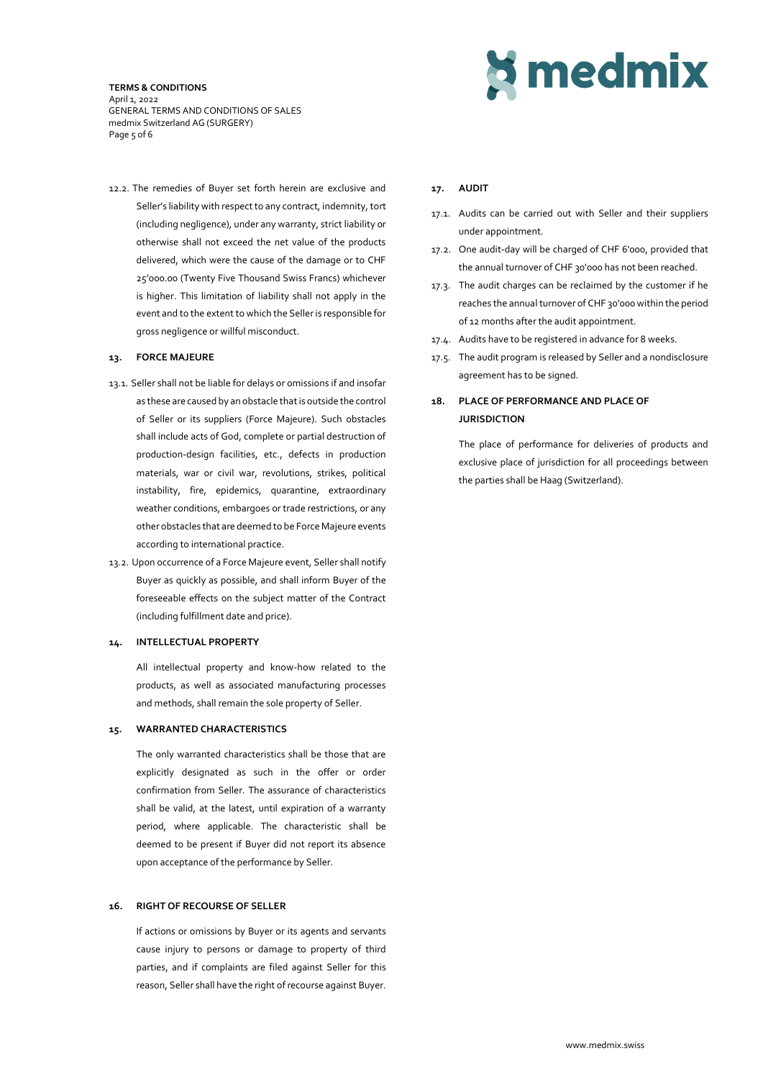#### **TERMS & CONDITIONS** April 1, 2022 GENERAL TERMS AND CONDITIONS OF SALES medmix Switzerland AG (SURGERY) Page 5 of 6

12.2. The remedies of Buyer set forth herein are exclusive and Seller's liability with respect to any contract, indemnity, tort (including negligence), under any warranty, strict liability or otherwise shall not exceed the net value of the products delivered, which were the cause of the damage or to CHF 25'000.00 (Twenty Five Thousand Swiss Francs) whichever is higher. This limitation of liability shall not apply in the event and to the extent to which the Selleris responsible for gross negligence or willful misconduct.

# **13. FORCE MAJEURE**

- 13.1. Seller shall not be liable for delays or omissions if and insofar as these are caused by an obstacle that is outside the control of Seller or its suppliers (Force Majeure). Such obstacles shall include acts of God, complete or partial destruction of production-design facilities, etc., defects in production materials, war or civil war, revolutions, strikes, political instability, fire, epidemics, quarantine, extraordinary weather conditions, embargoes or trade restrictions, or any other obstacles that are deemed to be Force Majeure events according to international practice.
- 13.2. Upon occurrence of a Force Majeure event, Seller shall notify Buyer as quickly as possible, and shall inform Buyer of the foreseeable effects on the subject matter of the Contract (including fulfillment date and price).

## **14. INTELLECTUAL PROPERTY**

All intellectual property and know-how related to the products, as well as associated manufacturing processes and methods, shall remain the sole property of Seller.

## **15. WARRANTED CHARACTERISTICS**

The only warranted characteristics shall be those that are explicitly designated as such in the offer or order confirmation from Seller. The assurance of characteristics shall be valid, at the latest, until expiration of a warranty period, where applicable. The characteristic shall be deemed to be present if Buyer did not report its absence upon acceptance of the performance by Seller.

# **16. RIGHT OF RECOURSE OF SELLER**

If actions or omissions by Buyer or its agents and servants cause injury to persons or damage to property of third parties, and if complaints are filed against Seller for this reason, Seller shall have the right of recourse against Buyer.

# **Simedmix**

# **17. AUDIT**

- 17.1. Audits can be carried out with Seller and their suppliers under appointment.
- 17.2. One audit-day will be charged of CHF 6'000, provided that the annual turnover of CHF 30'000 has not been reached.
- 17.3. The audit charges can be reclaimed by the customer if he reaches the annual turnover of CHF 30'000 within the period of 12 months after the audit appointment.
- 17.4. Audits have to be registered in advance for 8 weeks.
- 17.5. The audit program is released by Seller and a nondisclosure agreement has to be signed.

# **18. PLACE OF PERFORMANCE AND PLACE OF JURISDICTION**

The place of performance for deliveries of products and exclusive place of jurisdiction for all proceedings between the parties shall be Haag (Switzerland).